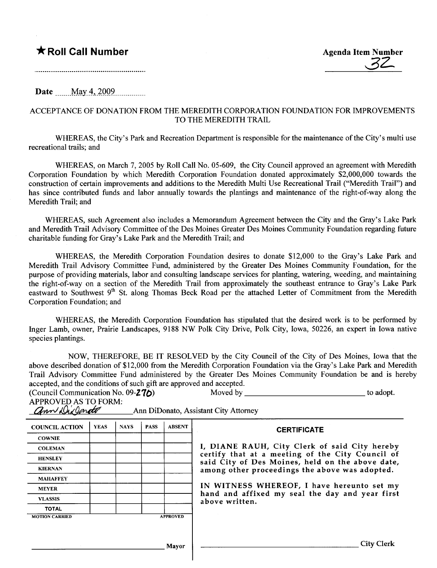★ Roll Call Number Agenda Item Number Agenda Item Number Agenda Item Number

Date \_\_\_\_\_May 4, 2009

## ACCEPTANCE OF DONATION FROM THE MEREDITH CORPORATION FOUNDATION FOR IMPROVEMENTS TO THE MEREDITH TRAIL

WHEREAS, the City's Park and Recreation Department is responsible for the maintenance of the City's multi use recreational trails; and

WHEREAS, on March 7, 2005 by Roll Call No. 05-609, the City Council approved an agreement with Meredith Corporation Foundation by which Meredith Corporation Foundation donated approximately \$2,000,000 towards the construction of certain improvements and additions to the Meredith Multi Use Recreational Trail ("Meredith Trail") and has since contributed funds and labor annually towards the plantings and maintenance of the right-of-way along the Meredith Trail; and

WHREAS, such Agreement also includes a Memorandum Agreement between the City and the Gray's Lake Park and Meredith Trail Advisory Committee of the Des Moines Greater Des Moines Community Foundation regarding future charitable funding for Gray's Lake Park and the Meredith Trail; and

WHEREAS, the Meredith Corporation Foundation desires to donate \$12,000 to the Gray's Lake Park and Meredith Trail Advisory Committee Fund, administered by the Greater Des Moines Community Foundation, for the purpose of providing materials, labor and consulting landscape services for planting, watering, weeding, and maintaining the right-of-way on a section of the Meredith Trail from approximately the southeast entrance to Gray's Lake Park eastward to Southwest 9<sup>th</sup> St. along Thomas Beck Road per the attached Letter of Commitment from the Meredith Corporation Foundation; and

WHEREAS, the Meredith Corporation Foundation has stipulated that the desired work is to be performed by Inger Lamb, owner, Prairie Landscapes, 9188 NW Polk City Drive, Polk City, Iowa, 50226, an expert in Iowa native species plantings.

NOW, THEREFORE, BE IT RESOLVED by the City Council of the City of Des Moines, Iowa that the above described donation of \$12,000 from the Meredith Corporation Foundation via the Gray's Lake Park and Meredith Trail Advisory Committee Fund administered by the Greater Des Moines Community Foundation be and is hereby accepted, and the conditions of such gift are approved and accepted.

| (Council Communication No. 09-27 $\Delta$ ) | Moved by                              | to adopt. |
|---------------------------------------------|---------------------------------------|-----------|
| <b>APPROVED AS TO FORM:</b>                 |                                       |           |
| ann Dix Jonato                              | Ann DiDonato, Assistant City Attorney |           |

| <b>COUNCIL ACTION</b> | <b>YEAS</b> | <b>NAYS</b> | <b>PASS</b> | <b>ABSENT</b>   | <b>CERTIFICATE</b>                                                                                                                                                                                                                                                                                                         |
|-----------------------|-------------|-------------|-------------|-----------------|----------------------------------------------------------------------------------------------------------------------------------------------------------------------------------------------------------------------------------------------------------------------------------------------------------------------------|
| <b>COWNIE</b>         |             |             |             |                 |                                                                                                                                                                                                                                                                                                                            |
| <b>COLEMAN</b>        |             |             |             |                 | I, DIANE RAUH, City Clerk of said City hereby<br>certify that at a meeting of the City Council of<br>said City of Des Moines, held on the above date,<br>among other proceedings the above was adopted.<br>IN WITNESS WHEREOF, I have hereunto set my<br>hand and affixed my seal the day and year first<br>above written. |
| <b>HENSLEY</b>        |             |             |             |                 |                                                                                                                                                                                                                                                                                                                            |
| <b>KIERNAN</b>        |             |             |             |                 |                                                                                                                                                                                                                                                                                                                            |
| <b>MAHAFFEY</b>       |             |             |             |                 |                                                                                                                                                                                                                                                                                                                            |
| <b>MEYER</b>          |             |             |             |                 |                                                                                                                                                                                                                                                                                                                            |
| <b>VLASSIS</b>        |             |             |             |                 |                                                                                                                                                                                                                                                                                                                            |
| <b>TOTAL</b>          |             |             |             |                 |                                                                                                                                                                                                                                                                                                                            |
| <b>MOTION CARRIED</b> |             |             |             | <b>APPROVED</b> |                                                                                                                                                                                                                                                                                                                            |
|                       |             |             |             |                 |                                                                                                                                                                                                                                                                                                                            |
|                       |             |             |             | Mavor           | <b>City Clerk</b>                                                                                                                                                                                                                                                                                                          |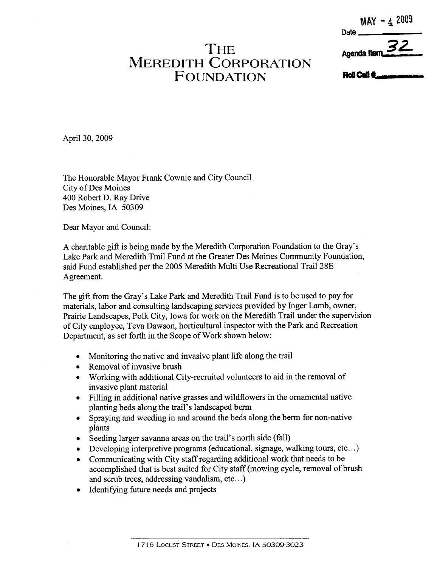## MAY - 4 2009

Agenda Iten

Date

## **THE** MEREDITH CORPORATION **FOUNDATION**

Roll Call <sup>2</sup>.

April 30, 2009

The Honorable Mayor Frank Cownie and City Council City of Des Moines 400 Robert D. Ray Drive Des Moines, IA 50309

Dear Mayor and Council:

A charitable gift is being made by the Meredith Corporation Foundation to the Gray's Lake Park and Meredith Trail Fund at the Greater Des Moines Community Foundation, said Fund established per the 2005 Meredith Multi Use Recreational Trail 28E Agreement.

The gift from the Gray's Lake Park and Meredith Trail Fund is to be used to pay for materials, labor and consulting landscaping services provided by Inger Lamb, owner, Prairie Landscapes, Polk City, Iowa for work on the Meredith Trail under the supervision of City employee, Teva Dawson, horticultural inspector with the Park and Recreation Department, as set forth in the Scope of Work shown below:

- . Monitoring the native and invasive plant life along the trail
- . Removal of invasive brush
- . Working with additional City-recruited volunteers to aid in the removal of invasive plant material
- . Filing in additional native grasses and wildflowers in the ornamental native planting beds along the trail's landscaped berm
- . Spraying and weeding in and around the beds along the berm for non-native plants
- . Seeding larger savana areas on the trail's north side (fall)
- . Developing interpretive programs (educational, signage, walking tours, etc...)
- . Communicating with City staff regarding additional work that needs to be accomplished that is best suited for City staff (mowing cycle, removal of brush and scrub trees, addressing vandalism, etc...)
- . Identifying future needs and projects